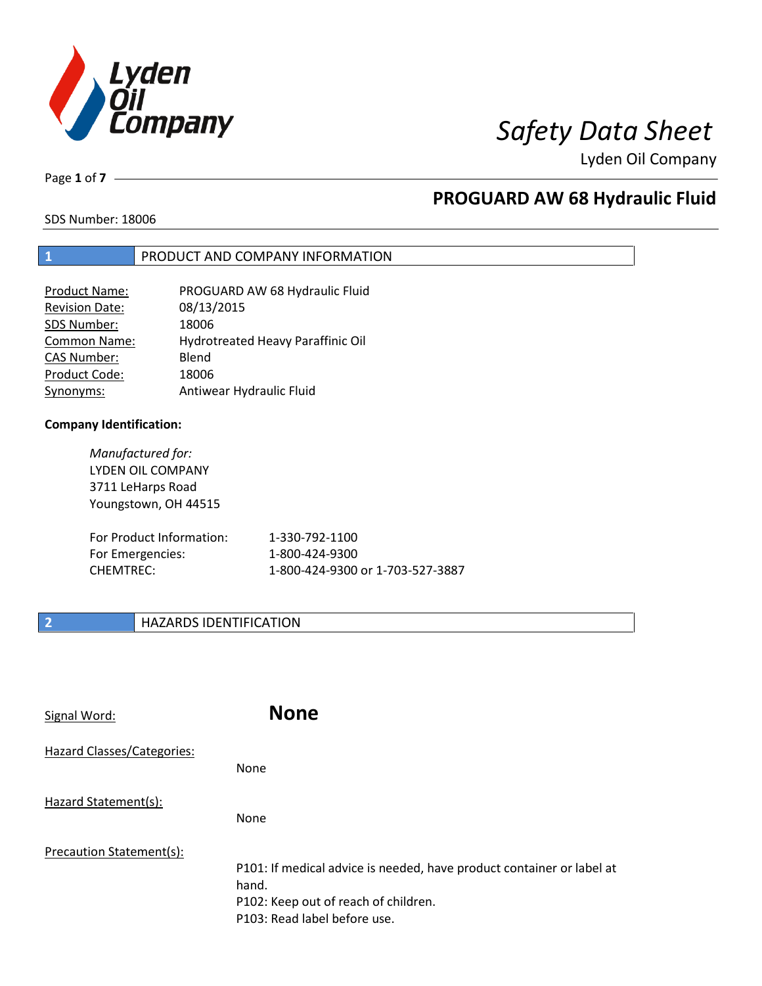

Page **1** of **7**

## **PROGUARD AW 68 Hydraulic Fluid**

SDS Number: 18006

### **1** PRODUCT AND COMPANY INFORMATION

| <b>Product Name:</b>  | PROGUARD AW 68 Hydraulic Fluid    |
|-----------------------|-----------------------------------|
| <b>Revision Date:</b> | 08/13/2015                        |
| SDS Number:           | 18006                             |
| <b>Common Name:</b>   | Hydrotreated Heavy Paraffinic Oil |
| <b>CAS Number:</b>    | Blend                             |
| Product Code:         | 18006                             |
| Synonyms:             | Antiwear Hydraulic Fluid          |

### **Company Identification:**

*Manufactured for:* LYDEN OIL COMPANY 3711 LeHarps Road Youngstown, OH 44515

| For Product Information: | 1-330-792-1100                   |
|--------------------------|----------------------------------|
| For Emergencies:         | 1-800-424-9300                   |
| CHEMTREC:                | 1-800-424-9300 or 1-703-527-3887 |

### **2 HAZARDS IDENTIFICATION**

| Signal Word:               | <b>None</b>                                                                                                                                            |
|----------------------------|--------------------------------------------------------------------------------------------------------------------------------------------------------|
| Hazard Classes/Categories: | <b>None</b>                                                                                                                                            |
| Hazard Statement(s):       | <b>None</b>                                                                                                                                            |
| Precaution Statement(s):   | P101: If medical advice is needed, have product container or label at<br>hand.<br>P102: Keep out of reach of children.<br>P103: Read label before use. |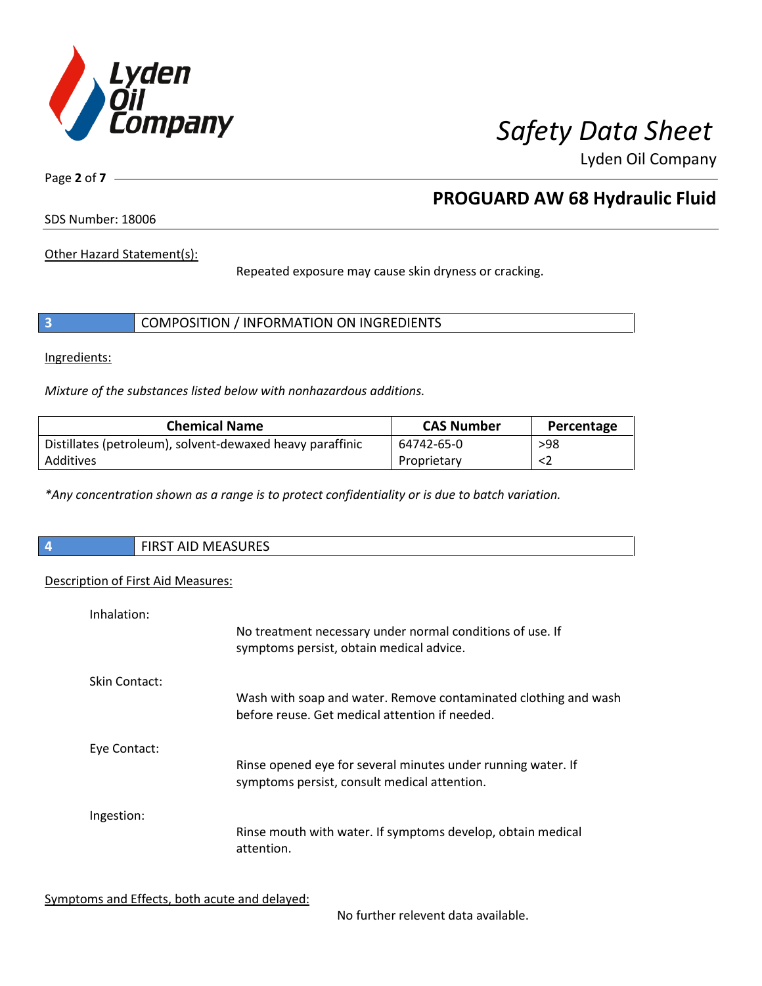

Page **2** of **7**

## **PROGUARD AW 68 Hydraulic Fluid**

SDS Number: 18006

Other Hazard Statement(s):

Repeated exposure may cause skin dryness or cracking.

|  | COMPOSITION / INFORMATION ON INGREDIENTS |  |
|--|------------------------------------------|--|
|--|------------------------------------------|--|

Ingredients:

*Mixture of the substances listed below with nonhazardous additions.*

| <b>Chemical Name</b>                                      | <b>CAS Number</b> | Percentage |
|-----------------------------------------------------------|-------------------|------------|
| Distillates (petroleum), solvent-dewaxed heavy paraffinic | 64742-65-0        | >98        |
| Additives                                                 | Proprietary       |            |

*\*Any concentration shown as a range is to protect confidentiality or is due to batch variation.*

| $\overline{4}$ | <b>AACACURECT</b><br>$\sim$ close $\sim$<br>T AID MEASURES<br>כחו |  |
|----------------|-------------------------------------------------------------------|--|
|                |                                                                   |  |

### Description of First Aid Measures:

| Inhalation:   | No treatment necessary under normal conditions of use. If<br>symptoms persist, obtain medical advice.             |
|---------------|-------------------------------------------------------------------------------------------------------------------|
| Skin Contact: | Wash with soap and water. Remove contaminated clothing and wash<br>before reuse. Get medical attention if needed. |
| Eye Contact:  | Rinse opened eye for several minutes under running water. If<br>symptoms persist, consult medical attention.      |
| Ingestion:    | Rinse mouth with water. If symptoms develop, obtain medical<br>attention.                                         |

Symptoms and Effects, both acute and delayed:

No further relevent data available.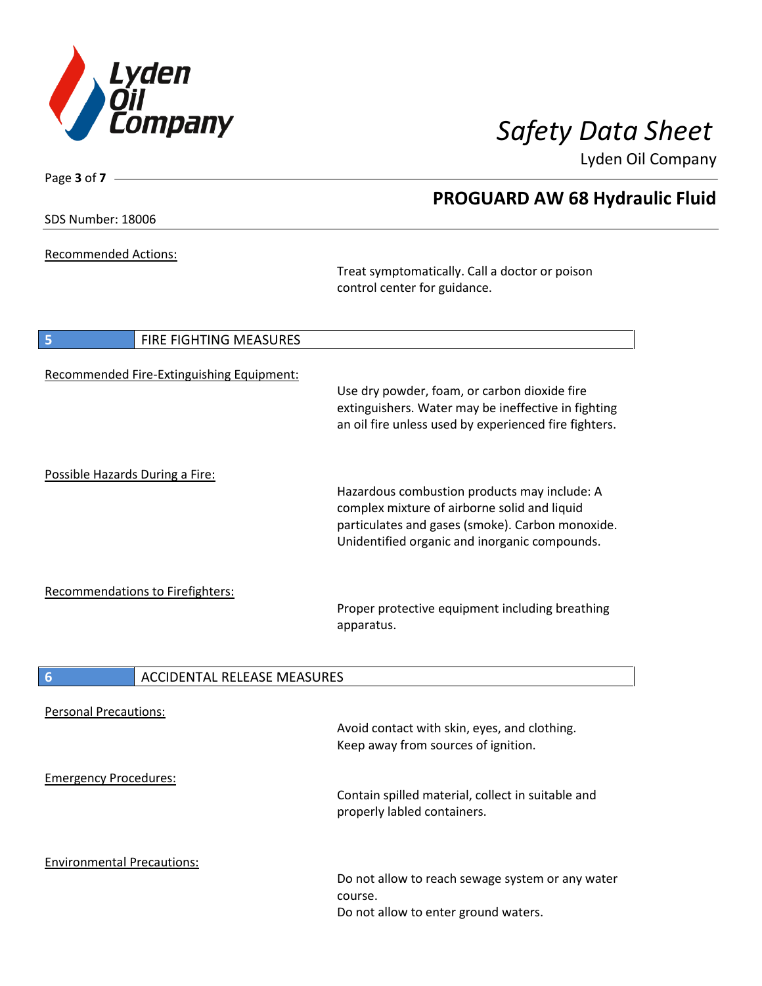

SDS Number: 18006

Page **3** of **7**

Recommended Actions:

Treat symptomatically. Call a doctor or poison control center for guidance.

| 5<br>FIRE FIGHTING MEASURES               |                                                                                                                                                                                                   |
|-------------------------------------------|---------------------------------------------------------------------------------------------------------------------------------------------------------------------------------------------------|
| Recommended Fire-Extinguishing Equipment: | Use dry powder, foam, or carbon dioxide fire<br>extinguishers. Water may be ineffective in fighting<br>an oil fire unless used by experienced fire fighters.                                      |
| Possible Hazards During a Fire:           | Hazardous combustion products may include: A<br>complex mixture of airborne solid and liquid<br>particulates and gases (smoke). Carbon monoxide.<br>Unidentified organic and inorganic compounds. |
| Recommendations to Firefighters:          | Proper protective equipment including breathing<br>apparatus.                                                                                                                                     |
| 6<br><b>ACCIDENTAL RELEASE MEASURES</b>   |                                                                                                                                                                                                   |
| <b>Personal Precautions:</b>              | Avoid contact with skin, eyes, and clothing.<br>Keep away from sources of ignition.                                                                                                               |
| <b>Emergency Procedures:</b>              | Contain spilled material, collect in suitable and<br>properly labled containers.                                                                                                                  |
| <b>Environmental Precautions:</b>         | Do not allow to reach sewage system or any water<br>course.<br>Do not allow to enter ground waters.                                                                                               |

## **PROGUARD AW 68 Hydraulic Fluid**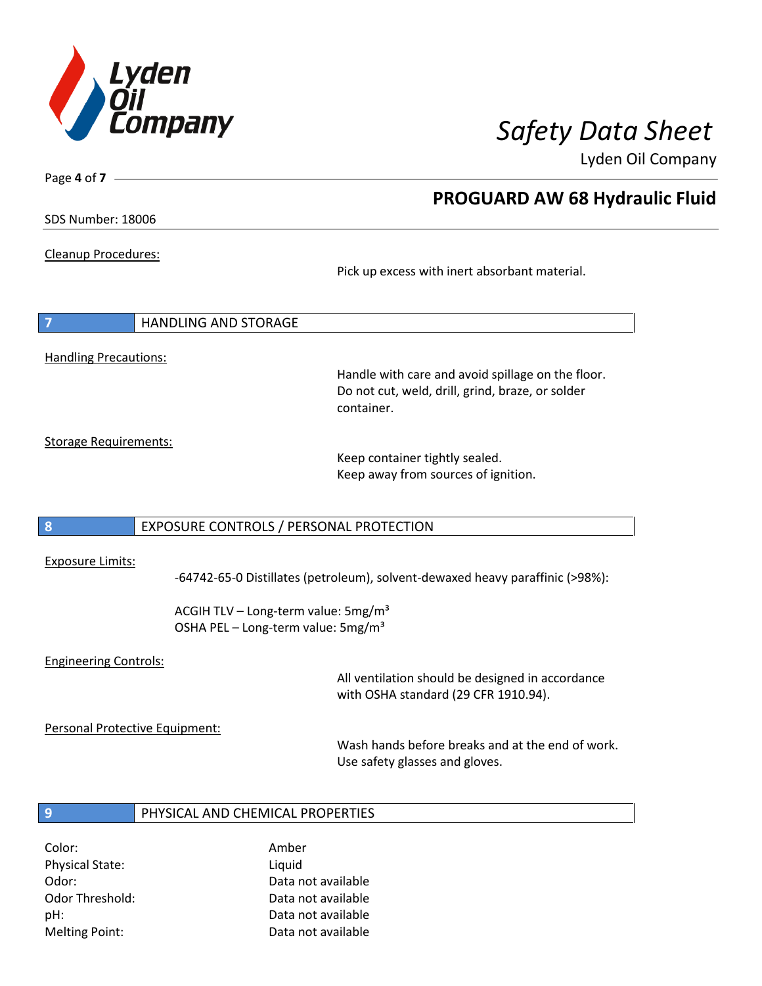

Page **4** of **7**

## **PROGUARD AW 68 Hydraulic Fluid**

SDS Number: 18006

Cleanup Procedures:

Pick up excess with inert absorbant material.

| $\overline{7}$               | <b>HANDLING AND STORAGE</b> |
|------------------------------|-----------------------------|
|                              |                             |
| <b>Handling Precautions:</b> |                             |

Handle with care and avoid spillage on the floor. Do not cut, weld, drill, grind, braze, or solder container.

Storage Requirements:

Keep container tightly sealed. Keep away from sources of ignition.

### **8** EXPOSURE CONTROLS / PERSONAL PROTECTION

### Exposure Limits:

-64742-65-0 Distillates (petroleum), solvent-dewaxed heavy paraffinic (>98%):

ACGIH TLV – Long-term value: 5mg/m<sup>3</sup> OSHA PEL - Long-term value: 5mg/m<sup>3</sup>

### Engineering Controls:

All ventilation should be designed in accordance with OSHA standard (29 CFR 1910.94).

Personal Protective Equipment:

Wash hands before breaks and at the end of work. Use safety glasses and gloves.

### **9** PHYSICAL AND CHEMICAL PROPERTIES

Color: Amber Physical State: Liquid

Odor: Data not available Odor Threshold: Data not available pH: Data not available Melting Point: Data not available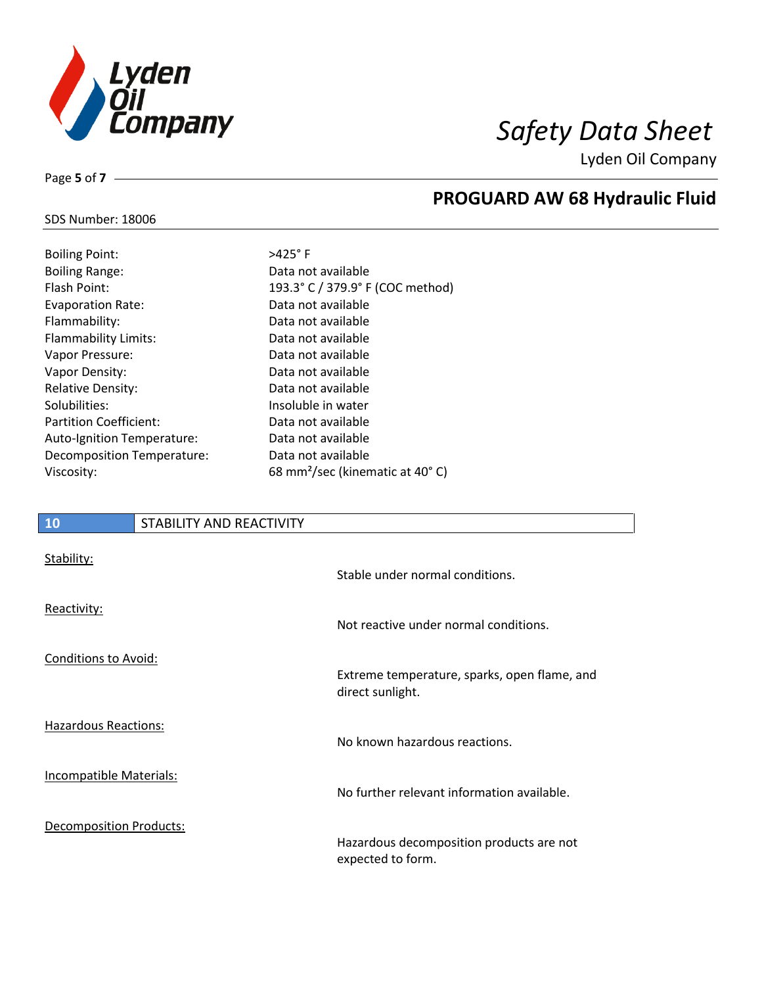

SDS Number: 18006

Page **5** of **7**

# **PROGUARD AW 68 Hydraulic Fluid**

| <b>Boiling Point:</b>         | $>425^\circ$ F                              |
|-------------------------------|---------------------------------------------|
| <b>Boiling Range:</b>         | Data not available                          |
| Flash Point:                  | 193.3° C / 379.9° F (COC method)            |
| <b>Evaporation Rate:</b>      | Data not available                          |
| Flammability:                 | Data not available                          |
| Flammability Limits:          | Data not available                          |
| Vapor Pressure:               | Data not available                          |
| Vapor Density:                | Data not available                          |
| <b>Relative Density:</b>      | Data not available                          |
| Solubilities:                 | Insoluble in water                          |
| <b>Partition Coefficient:</b> | Data not available                          |
| Auto-Ignition Temperature:    | Data not available                          |
| Decomposition Temperature:    | Data not available                          |
| Viscosity:                    | 68 mm <sup>2</sup> /sec (kinematic at 40°C) |
|                               |                                             |

| 10                          | STABILITY AND REACTIVITY |                                                                  |
|-----------------------------|--------------------------|------------------------------------------------------------------|
| Stability:                  |                          | Stable under normal conditions.                                  |
| Reactivity:                 |                          | Not reactive under normal conditions.                            |
| <b>Conditions to Avoid:</b> |                          | Extreme temperature, sparks, open flame, and<br>direct sunlight. |

Hazardous Reactions:

Incompatible Materials:

Decomposition Products:

Hazardous decomposition products are not expected to form.

No further relevant information available.

No known hazardous reactions.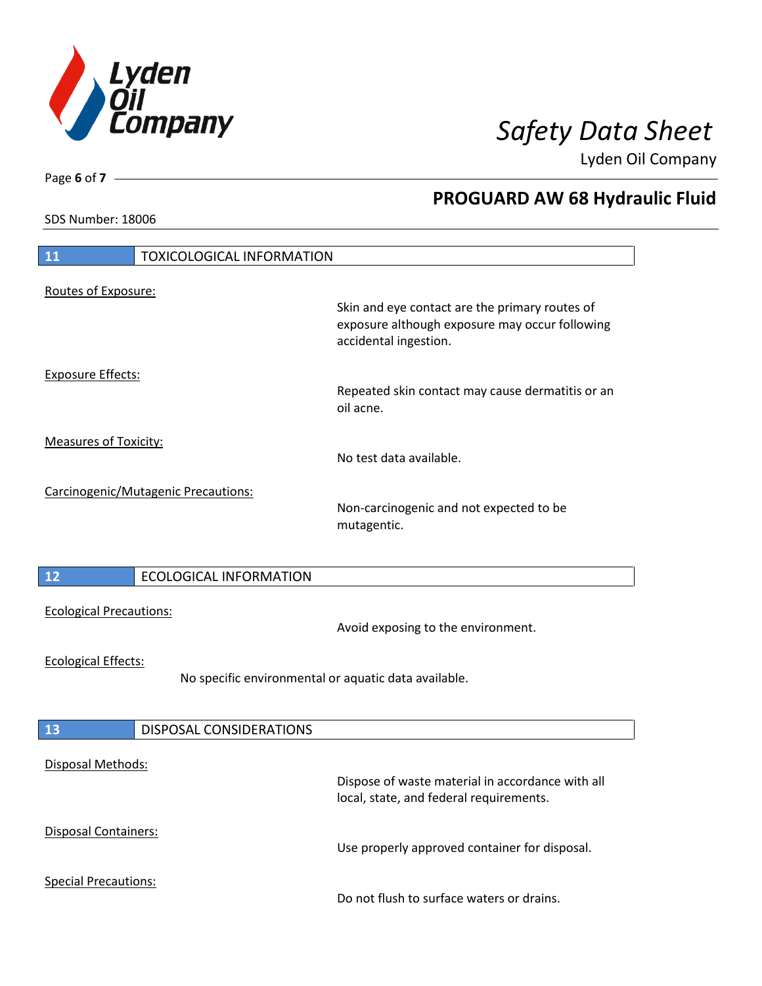

**PROGUARD AW 68 Hydraulic Fluid**

Lyden Oil Company

SDS Number: 18006

Page **6** of **7**

| 11                                                                                 | <b>TOXICOLOGICAL INFORMATION</b>    |                                                                                                  |
|------------------------------------------------------------------------------------|-------------------------------------|--------------------------------------------------------------------------------------------------|
| Routes of Exposure:                                                                |                                     | Skin and eye contact are the primary routes of<br>exposure although exposure may occur following |
| <b>Exposure Effects:</b>                                                           |                                     | accidental ingestion.<br>Repeated skin contact may cause dermatitis or an<br>oil acne.           |
| <b>Measures of Toxicity:</b>                                                       |                                     | No test data available.                                                                          |
|                                                                                    | Carcinogenic/Mutagenic Precautions: | Non-carcinogenic and not expected to be<br>mutagentic.                                           |
| 12                                                                                 | <b>ECOLOGICAL INFORMATION</b>       |                                                                                                  |
| <b>Ecological Precautions:</b>                                                     |                                     | Avoid exposing to the environment.                                                               |
| <b>Ecological Effects:</b><br>No specific environmental or aquatic data available. |                                     |                                                                                                  |
| 13                                                                                 | DISPOSAL CONSIDERATIONS             |                                                                                                  |
| Disposal Methods:                                                                  |                                     | Dispose of waste material in accordance with all<br>local, state, and federal requirements.      |
| <b>Disposal Containers:</b>                                                        |                                     | Use properly approved container for disposal.                                                    |
| <b>Special Precautions:</b>                                                        |                                     | Do not flush to surface waters or drains.                                                        |